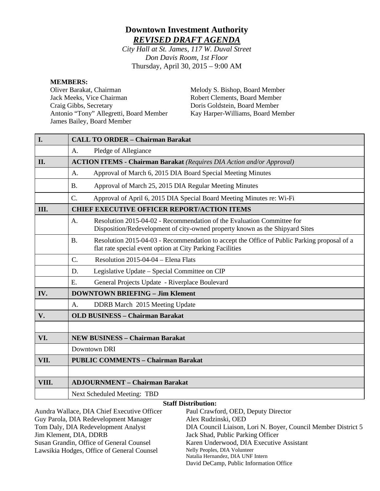# **Downtown Investment Authority** *REVISED DRAFT AGENDA*

*City Hall at St. James, 117 W. Duval Street Don Davis Room, 1st Floor* Thursday, April 30, 2015 – 9:00 AM

#### **MEMBERS:**

Oliver Barakat, Chairman Jack Meeks, Vice Chairman Craig Gibbs, Secretary Antonio "Tony" Allegretti, Board Member James Bailey, Board Member

Melody S. Bishop, Board Member Robert Clements, Board Member Doris Goldstein, Board Member Kay Harper-Williams, Board Member

| I.                         | <b>CALL TO ORDER - Chairman Barakat</b>                                                                                                                               |  |  |  |
|----------------------------|-----------------------------------------------------------------------------------------------------------------------------------------------------------------------|--|--|--|
|                            | Pledge of Allegiance<br>A.                                                                                                                                            |  |  |  |
| II.                        | <b>ACTION ITEMS - Chairman Barakat</b> (Requires DIA Action and/or Approval)                                                                                          |  |  |  |
|                            | Approval of March 6, 2015 DIA Board Special Meeting Minutes<br>$\mathsf{A}$ .                                                                                         |  |  |  |
|                            | Approval of March 25, 2015 DIA Regular Meeting Minutes<br><b>B.</b>                                                                                                   |  |  |  |
|                            | $C$ .<br>Approval of April 6, 2015 DIA Special Board Meeting Minutes re: Wi-Fi                                                                                        |  |  |  |
| III.                       | <b>CHIEF EXECUTIVE OFFICER REPORT/ACTION ITEMS</b>                                                                                                                    |  |  |  |
|                            | Resolution 2015-04-02 - Recommendation of the Evaluation Committee for<br>A.<br>Disposition/Redevelopment of city-owned property known as the Shipyard Sites          |  |  |  |
|                            | <b>B.</b><br>Resolution 2015-04-03 - Recommendation to accept the Office of Public Parking proposal of a<br>flat rate special event option at City Parking Facilities |  |  |  |
|                            | $C$ .<br>Resolution 2015-04-04 – Elena Flats                                                                                                                          |  |  |  |
|                            | Legislative Update – Special Committee on CIP<br>D.                                                                                                                   |  |  |  |
|                            | Ε.<br>General Projects Update - Riverplace Boulevard                                                                                                                  |  |  |  |
| IV.                        | <b>DOWNTOWN BRIEFING - Jim Klement</b>                                                                                                                                |  |  |  |
|                            | DDRB March 2015 Meeting Update<br>A.                                                                                                                                  |  |  |  |
| V.                         | <b>OLD BUSINESS - Chairman Barakat</b>                                                                                                                                |  |  |  |
|                            |                                                                                                                                                                       |  |  |  |
| VI.                        | <b>NEW BUSINESS - Chairman Barakat</b>                                                                                                                                |  |  |  |
|                            | Downtown DRI                                                                                                                                                          |  |  |  |
| VII.                       | <b>PUBLIC COMMENTS - Chairman Barakat</b>                                                                                                                             |  |  |  |
|                            |                                                                                                                                                                       |  |  |  |
| VIII.                      | <b>ADJOURNMENT - Chairman Barakat</b>                                                                                                                                 |  |  |  |
|                            | Next Scheduled Meeting: TBD                                                                                                                                           |  |  |  |
| <b>Staff Distribution:</b> |                                                                                                                                                                       |  |  |  |

Aundra Wallace, DIA Chief Executive Officer Guy Parola, DIA Redevelopment Manager Tom Daly, DIA Redevelopment Analyst Jim Klement, DIA, DDRB Susan Grandin, Office of General Counsel Lawsikia Hodges, Office of General Counsel Paul Crawford, OED, Deputy Director Alex Rudzinski, OED DIA Council Liaison, Lori N. Boyer, Council Member District 5 Jack Shad, Public Parking Officer Karen Underwood, DIA Executive Assistant Nelly Peoples, DIA Volunteer Natalia Hernandez, DIA UNF Intern David DeCamp, Public Information Office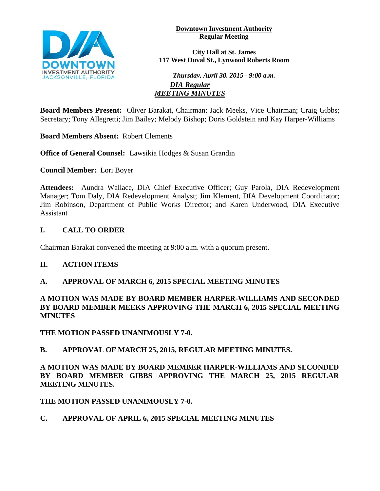**Downtown Investment Authority Regular Meeting** 



**City Hall at St. James 117 West Duval St., Lynwood Roberts Room**

*Thursday, April 30, 2015 - 9:00 a.m. DIA Regular MEETING MINUTES*

**Board Members Present:** Oliver Barakat, Chairman; Jack Meeks, Vice Chairman; Craig Gibbs; Secretary; Tony Allegretti; Jim Bailey; Melody Bishop; Doris Goldstein and Kay Harper-Williams

**Board Members Absent:** Robert Clements

**Office of General Counsel:** Lawsikia Hodges & Susan Grandin

**Council Member:** Lori Boyer

**Attendees:** Aundra Wallace, DIA Chief Executive Officer; Guy Parola, DIA Redevelopment Manager; Tom Daly, DIA Redevelopment Analyst; Jim Klement, DIA Development Coordinator; Jim Robinson, Department of Public Works Director; and Karen Underwood, DIA Executive Assistant

# **I. CALL TO ORDER**

Chairman Barakat convened the meeting at 9:00 a.m. with a quorum present.

# **II. ACTION ITEMS**

# **A. APPROVAL OF MARCH 6, 2015 SPECIAL MEETING MINUTES**

#### **A MOTION WAS MADE BY BOARD MEMBER HARPER-WILLIAMS AND SECONDED BY BOARD MEMBER MEEKS APPROVING THE MARCH 6, 2015 SPECIAL MEETING MINUTES**

**THE MOTION PASSED UNANIMOUSLY 7-0.**

# **B. APPROVAL OF MARCH 25, 2015, REGULAR MEETING MINUTES.**

**A MOTION WAS MADE BY BOARD MEMBER HARPER-WILLIAMS AND SECONDED BY BOARD MEMBER GIBBS APPROVING THE MARCH 25, 2015 REGULAR MEETING MINUTES.** 

**THE MOTION PASSED UNANIMOUSLY 7-0.**

# **C. APPROVAL OF APRIL 6, 2015 SPECIAL MEETING MINUTES**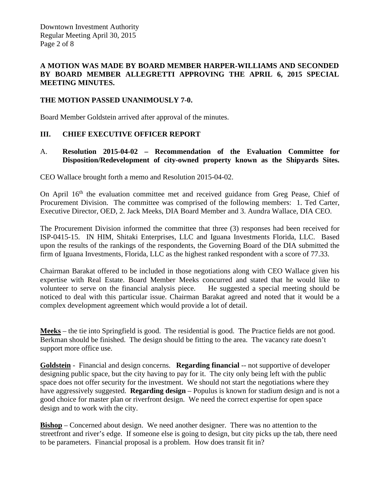#### **A MOTION WAS MADE BY BOARD MEMBER HARPER-WILLIAMS AND SECONDED BY BOARD MEMBER ALLEGRETTI APPROVING THE APRIL 6, 2015 SPECIAL MEETING MINUTES.**

#### **THE MOTION PASSED UNANIMOUSLY 7-0.**

Board Member Goldstein arrived after approval of the minutes.

#### **III. CHIEF EXECUTIVE OFFICER REPORT**

#### A. **Resolution 2015-04-02 – Recommendation of the Evaluation Committee for Disposition/Redevelopment of city-owned property known as the Shipyards Sites.**

CEO Wallace brought forth a memo and Resolution 2015-04-02.

On April 16<sup>th</sup> the evaluation committee met and received guidance from Greg Pease, Chief of Procurement Division. The committee was comprised of the following members: 1. Ted Carter, Executive Director, OED, 2. Jack Meeks, DIA Board Member and 3. Aundra Wallace, DIA CEO.

The Procurement Division informed the committee that three (3) responses had been received for ISP-0415-15. IN HIM, Shitaki Enterprises, LLC and Iguana Investments Florida, LLC. Based upon the results of the rankings of the respondents, the Governing Board of the DIA submitted the firm of Iguana Investments, Florida, LLC as the highest ranked respondent with a score of 77.33.

Chairman Barakat offered to be included in those negotiations along with CEO Wallace given his expertise with Real Estate. Board Member Meeks concurred and stated that he would like to volunteer to serve on the financial analysis piece. He suggested a special meeting should be noticed to deal with this particular issue. Chairman Barakat agreed and noted that it would be a complex development agreement which would provide a lot of detail.

**Meeks** – the tie into Springfield is good. The residential is good. The Practice fields are not good. Berkman should be finished. The design should be fitting to the area. The vacancy rate doesn't support more office use.

**Goldstein** - Financial and design concerns. **Regarding financial** -- not supportive of developer designing public space, but the city having to pay for it. The city only being left with the public space does not offer security for the investment. We should not start the negotiations where they have aggressively suggested. **Regarding design** – Populus is known for stadium design and is not a good choice for master plan or riverfront design. We need the correct expertise for open space design and to work with the city.

**Bishop** – Concerned about design. We need another designer. There was no attention to the streetfront and river's edge. If someone else is going to design, but city picks up the tab, there need to be parameters. Financial proposal is a problem. How does transit fit in?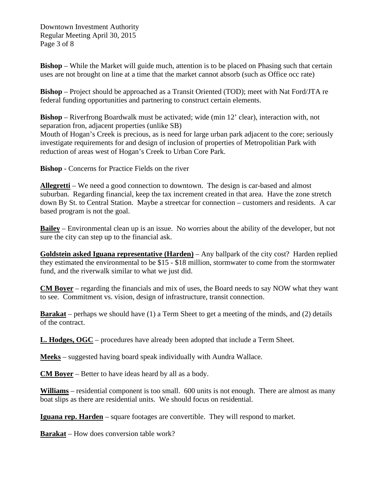Downtown Investment Authority Regular Meeting April 30, 2015 Page 3 of 8

**Bishop** – While the Market will guide much, attention is to be placed on Phasing such that certain uses are not brought on line at a time that the market cannot absorb (such as Office occ rate)

**Bishop** – Project should be approached as a Transit Oriented (TOD); meet with Nat Ford/JTA re federal funding opportunities and partnering to construct certain elements.

**Bishop** – Riverfrong Boardwalk must be activated; wide (min 12' clear), interaction with, not separation fron, adjacent properties (unlike SB) Mouth of Hogan's Creek is precious, as is need for large urban park adjacent to the core; seriously investigate requirements for and design of inclusion of properties of Metropolitian Park with reduction of areas west of Hogan's Creek to Urban Core Park.

**Bishop** - Concerns for Practice Fields on the river

**Allegretti** – We need a good connection to downtown. The design is car-based and almost suburban. Regarding financial, keep the tax increment created in that area. Have the zone stretch down By St. to Central Station. Maybe a streetcar for connection – customers and residents. A car based program is not the goal.

**Bailey** – Environmental clean up is an issue. No worries about the ability of the developer, but not sure the city can step up to the financial ask.

**Goldstein asked Iguana representative (Harden)** – Any ballpark of the city cost? Harden replied they estimated the environmental to be \$15 - \$18 million, stormwater to come from the stormwater fund, and the riverwalk similar to what we just did.

**CM Boyer** – regarding the financials and mix of uses, the Board needs to say NOW what they want to see. Commitment vs. vision, design of infrastructure, transit connection.

**Barakat** – perhaps we should have (1) a Term Sheet to get a meeting of the minds, and (2) details of the contract.

**L. Hodges, OGC** – procedures have already been adopted that include a Term Sheet.

**Meeks** – suggested having board speak individually with Aundra Wallace.

**CM Boyer** – Better to have ideas heard by all as a body.

**Williams** – residential component is too small. 600 units is not enough. There are almost as many boat slips as there are residential units. We should focus on residential.

**Iguana rep. Harden** – square footages are convertible. They will respond to market.

**Barakat** – How does conversion table work?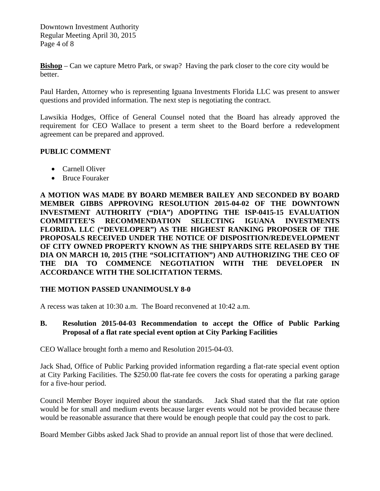Downtown Investment Authority Regular Meeting April 30, 2015 Page 4 of 8

**Bishop** – Can we capture Metro Park, or swap? Having the park closer to the core city would be better.

Paul Harden, Attorney who is representing Iguana Investments Florida LLC was present to answer questions and provided information. The next step is negotiating the contract.

Lawsikia Hodges, Office of General Counsel noted that the Board has already approved the requirement for CEO Wallace to present a term sheet to the Board berfore a redevelopment agreement can be prepared and approved.

#### **PUBLIC COMMENT**

- Carnell Oliver
- Bruce Fouraker

**A MOTION WAS MADE BY BOARD MEMBER BAILEY AND SECONDED BY BOARD MEMBER GIBBS APPROVING RESOLUTION 2015-04-02 OF THE DOWNTOWN INVESTMENT AUTHORITY ("DIA") ADOPTING THE ISP-0415-15 EVALUATION COMMITTEE'S RECOMMENDATION SELECTING IGUANA INVESTMENTS FLORIDA. LLC ("DEVELOPER") AS THE HIGHEST RANKING PROPOSER OF THE PROPOSALS RECEIVED UNDER THE NOTICE OF DISPOSITION/REDEVELOPMENT OF CITY OWNED PROPERTY KNOWN AS THE SHIPYARDS SITE RELASED BY THE DIA ON MARCH 10, 2015 (THE "SOLICITATION") AND AUTHORIZING THE CEO OF THE DIA TO COMMENCE NEGOTIATION WITH THE DEVELOPER IN ACCORDANCE WITH THE SOLICITATION TERMS.** 

#### **THE MOTION PASSED UNANIMOUSLY 8-0**

A recess was taken at 10:30 a.m. The Board reconvened at 10:42 a.m.

# **B. Resolution 2015-04-03 Recommendation to accept the Office of Public Parking Proposal of a flat rate special event option at City Parking Facilities**

CEO Wallace brought forth a memo and Resolution 2015-04-03.

Jack Shad, Office of Public Parking provided information regarding a flat-rate special event option at City Parking Facilities. The \$250.00 flat-rate fee covers the costs for operating a parking garage for a five-hour period.

Council Member Boyer inquired about the standards. Jack Shad stated that the flat rate option would be for small and medium events because larger events would not be provided because there would be reasonable assurance that there would be enough people that could pay the cost to park.

Board Member Gibbs asked Jack Shad to provide an annual report list of those that were declined.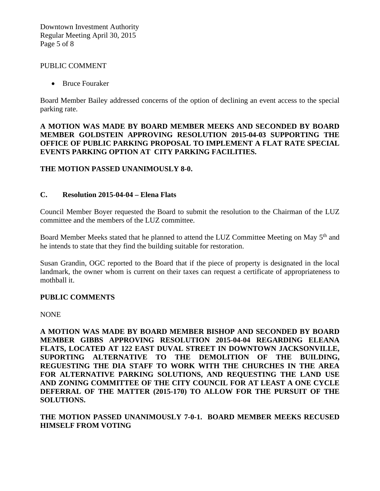Downtown Investment Authority Regular Meeting April 30, 2015 Page 5 of 8

#### PUBLIC COMMENT

• Bruce Fouraker

Board Member Bailey addressed concerns of the option of declining an event access to the special parking rate.

#### **A MOTION WAS MADE BY BOARD MEMBER MEEKS AND SECONDED BY BOARD MEMBER GOLDSTEIN APPROVING RESOLUTION 2015-04-03 SUPPORTING THE OFFICE OF PUBLIC PARKING PROPOSAL TO IMPLEMENT A FLAT RATE SPECIAL EVENTS PARKING OPTION AT CITY PARKING FACILITIES.**

#### **THE MOTION PASSED UNANIMOUSLY 8-0.**

# **C. Resolution 2015-04-04 – Elena Flats**

Council Member Boyer requested the Board to submit the resolution to the Chairman of the LUZ committee and the members of the LUZ committee.

Board Member Meeks stated that he planned to attend the LUZ Committee Meeting on May 5<sup>th</sup> and he intends to state that they find the building suitable for restoration.

Susan Grandin, OGC reported to the Board that if the piece of property is designated in the local landmark, the owner whom is current on their taxes can request a certificate of appropriateness to mothball it.

#### **PUBLIC COMMENTS**

NONE

**A MOTION WAS MADE BY BOARD MEMBER BISHOP AND SECONDED BY BOARD MEMBER GIBBS APPROVING RESOLUTION 2015-04-04 REGARDING ELEANA FLATS, LOCATED AT 122 EAST DUVAL STREET IN DOWNTOWN JACKSONVILLE, SUPORTING ALTERNATIVE TO THE DEMOLITION OF THE BUILDING, REGUESTING THE DIA STAFF TO WORK WITH THE CHURCHES IN THE AREA FOR ALTERNATIVE PARKING SOLUTIONS, AND REQUESTING THE LAND USE AND ZONING COMMITTEE OF THE CITY COUNCIL FOR AT LEAST A ONE CYCLE DEFERRAL OF THE MATTER (2015-170) TO ALLOW FOR THE PURSUIT OF THE SOLUTIONS.** 

**THE MOTION PASSED UNANIMOUSLY 7-0-1. BOARD MEMBER MEEKS RECUSED HIMSELF FROM VOTING**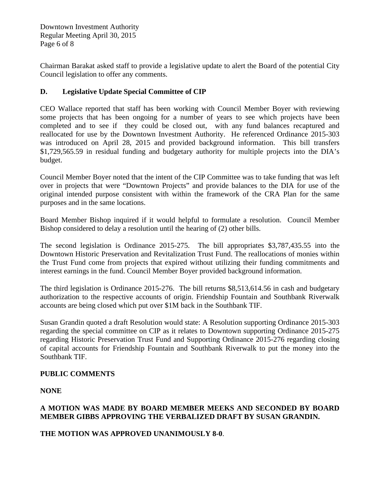Downtown Investment Authority Regular Meeting April 30, 2015 Page 6 of 8

Chairman Barakat asked staff to provide a legislative update to alert the Board of the potential City Council legislation to offer any comments.

# **D. Legislative Update Special Committee of CIP**

CEO Wallace reported that staff has been working with Council Member Boyer with reviewing some projects that has been ongoing for a number of years to see which projects have been completed and to see if they could be closed out, with any fund balances recaptured and reallocated for use by the Downtown Investment Authority. He referenced Ordinance 2015-303 was introduced on April 28, 2015 and provided background information. This bill transfers \$1,729,565.59 in residual funding and budgetary authority for multiple projects into the DIA's budget.

Council Member Boyer noted that the intent of the CIP Committee was to take funding that was left over in projects that were "Downtown Projects" and provide balances to the DIA for use of the original intended purpose consistent with within the framework of the CRA Plan for the same purposes and in the same locations.

Board Member Bishop inquired if it would helpful to formulate a resolution. Council Member Bishop considered to delay a resolution until the hearing of (2) other bills.

The second legislation is Ordinance 2015-275. The bill appropriates \$3,787,435.55 into the Downtown Historic Preservation and Revitalization Trust Fund. The reallocations of monies within the Trust Fund come from projects that expired without utilizing their funding commitments and interest earnings in the fund. Council Member Boyer provided background information.

The third legislation is Ordinance 2015-276. The bill returns \$8,513,614.56 in cash and budgetary authorization to the respective accounts of origin. Friendship Fountain and Southbank Riverwalk accounts are being closed which put over \$1M back in the Southbank TIF.

Susan Grandin quoted a draft Resolution would state: A Resolution supporting Ordinance 2015-303 regarding the special committee on CIP as it relates to Downtown supporting Ordinance 2015-275 regarding Historic Preservation Trust Fund and Supporting Ordinance 2015-276 regarding closing of capital accounts for Friendship Fountain and Southbank Riverwalk to put the money into the Southbank TIF.

# **PUBLIC COMMENTS**

**NONE**

# **A MOTION WAS MADE BY BOARD MEMBER MEEKS AND SECONDED BY BOARD MEMBER GIBBS APPROVING THE VERBALIZED DRAFT BY SUSAN GRANDIN.**

# **THE MOTION WAS APPROVED UNANIMOUSLY 8-0**.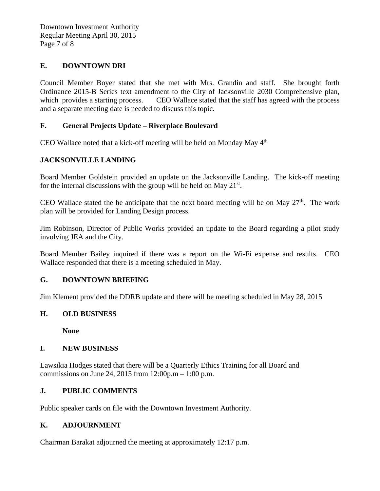# **E. DOWNTOWN DRI**

Council Member Boyer stated that she met with Mrs. Grandin and staff. She brought forth Ordinance 2015-B Series text amendment to the City of Jacksonville 2030 Comprehensive plan, which provides a starting process. CEO Wallace stated that the staff has agreed with the process and a separate meeting date is needed to discuss this topic.

# **F. General Projects Update – Riverplace Boulevard**

CEO Wallace noted that a kick-off meeting will be held on Monday May  $4<sup>th</sup>$ 

# **JACKSONVILLE LANDING**

Board Member Goldstein provided an update on the Jacksonville Landing. The kick-off meeting for the internal discussions with the group will be held on May  $21<sup>st</sup>$ .

CEO Wallace stated the he anticipate that the next board meeting will be on May  $27<sup>th</sup>$ . The work plan will be provided for Landing Design process.

Jim Robinson, Director of Public Works provided an update to the Board regarding a pilot study involving JEA and the City.

Board Member Bailey inquired if there was a report on the Wi-Fi expense and results. CEO Wallace responded that there is a meeting scheduled in May.

# **G. DOWNTOWN BRIEFING**

Jim Klement provided the DDRB update and there will be meeting scheduled in May 28, 2015

# **H. OLD BUSINESS**

**None**

# **I. NEW BUSINESS**

Lawsikia Hodges stated that there will be a Quarterly Ethics Training for all Board and commissions on June 24, 2015 from 12:00p.m – 1:00 p.m.

# **J. PUBLIC COMMENTS**

Public speaker cards on file with the Downtown Investment Authority.

# **K. ADJOURNMENT**

Chairman Barakat adjourned the meeting at approximately 12:17 p.m.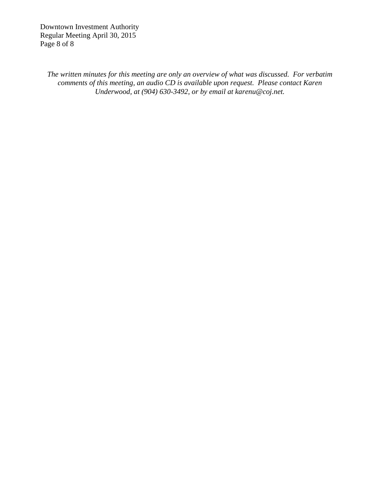Downtown Investment Authority Regular Meeting April 30, 2015 Page 8 of 8

*The written minutes for this meeting are only an overview of what was discussed. For verbatim comments of this meeting, an audio CD is available upon request. Please contact Karen Underwood, at (904) 630-3492, or by email at karenu@coj.net.*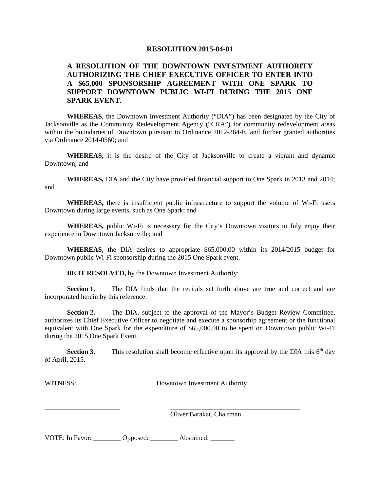#### **A RESOLUTION OF THE DOWNTOWN INVESTMENT AUTHORITY AUTHORIZING THE CHIEF EXECUTIVE OFFICER TO ENTER INTO A \$65,000 SPONSORSHIP AGREEMENT WITH ONE SPARK TO SUPPORT DOWNTOWN PUBLIC WI-FI DURING THE 2015 ONE SPARK EVENT.**

**WHEREAS**, the Downtown Investment Authority ("DIA") has been designated by the City of Jacksonville as the Community Redevelopment Agency ("CRA") for community redevelopment areas within the boundaries of Downtown pursuant to Ordinance 2012-364-E, and further granted authorities via Ordinance 2014-0560; and

**WHEREAS,** it is the desire of the City of Jacksonville to create a vibrant and dynamic Downtown; and

**WHEREAS,** DIA and the City have provided financial support to One Spark in 2013 and 2014; and

**WHEREAS,** there is insufficient public infrastructure to support the volume of Wi-Fi users Downtown during large events, such as One Spark; and

**WHEREAS,** public Wi-Fi is necessary for the City's Downtown visitors to fuly enjoy their experience in Downtown Jacksonville; and

**WHEREAS,** the DIA desires to appropriate \$65,000.00 within its 2014/2015 budget for Downtown public Wi-Fi sponsorship during the 2015 One Spark event.

**BE IT RESOLVED,** by the Downtown Investment Authority:

**Section 1.** The DIA finds that the recitals set forth above are true and correct and are incorporated herein by this reference.

**Section 2.** The DIA, subject to the approval of the Mayor's Budget Review Committee, authorizes its Chief Executive Officer to negotiate and execute a sponsorhip agreement or the functional equivalent with One Spark for the expenditure of \$65,000.00 to be spent on Downtown public Wi-FI during the 2015 One Spark Event.

**Section 3.** This resolution shall become effective upon its approval by the DIA this  $6<sup>th</sup>$  day of April, 2015.

\_\_\_\_\_\_\_\_\_\_\_\_\_\_\_\_\_\_\_\_\_\_ \_\_\_\_\_\_\_\_\_\_\_\_\_\_\_\_\_\_\_\_\_\_\_\_\_\_\_\_\_\_\_\_\_\_\_\_\_\_

WITNESS: Downtown Investment Authority

Oliver Barakat, Chairman

| VOTE: In Favor: | Opposed: | Abstained: |  |
|-----------------|----------|------------|--|
|-----------------|----------|------------|--|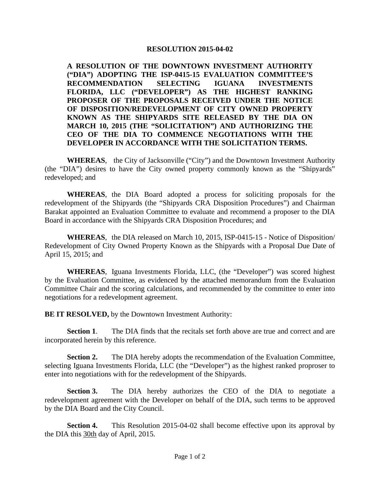**A RESOLUTION OF THE DOWNTOWN INVESTMENT AUTHORITY ("DIA") ADOPTING THE ISP-0415-15 EVALUATION COMMITTEE'S RECOMMENDATION SELECTING IGUANA INVESTMENTS FLORIDA, LLC ("DEVELOPER") AS THE HIGHEST RANKING PROPOSER OF THE PROPOSALS RECEIVED UNDER THE NOTICE OF DISPOSITION/REDEVELOPMENT OF CITY OWNED PROPERTY KNOWN AS THE SHIPYARDS SITE RELEASED BY THE DIA ON MARCH 10, 2015 (THE "SOLICITATION") AND AUTHORIZING THE CEO OF THE DIA TO COMMENCE NEGOTIATIONS WITH THE DEVELOPER IN ACCORDANCE WITH THE SOLICITATION TERMS.** 

**WHEREAS**, the City of Jacksonville ("City") and the Downtown Investment Authority (the "DIA") desires to have the City owned property commonly known as the "Shipyards" redeveloped; and

**WHEREAS**, the DIA Board adopted a process for soliciting proposals for the redevelopment of the Shipyards (the "Shipyards CRA Disposition Procedures") and Chairman Barakat appointed an Evaluation Committee to evaluate and recommend a proposer to the DIA Board in accordance with the Shipyards CRA Disposition Procedures; and

**WHEREAS**, the DIA released on March 10, 2015, ISP-0415-15 - Notice of Disposition/ Redevelopment of City Owned Property Known as the Shipyards with a Proposal Due Date of April 15, 2015; and

**WHEREAS**, Iguana Investments Florida, LLC, (the "Developer") was scored highest by the Evaluation Committee, as evidenced by the attached memorandum from the Evaluation Committee Chair and the scoring calculations, and recommended by the committee to enter into negotiations for a redevelopment agreement.

**BE IT RESOLVED,** by the Downtown Investment Authority:

**Section 1**. The DIA finds that the recitals set forth above are true and correct and are incorporated herein by this reference.

**Section 2.** The DIA hereby adopts the recommendation of the Evaluation Committee, selecting Iguana Investments Florida, LLC (the "Developer") as the highest ranked proproser to enter into negotiations with for the redevelopment of the Shipyards.

**Section 3.** The DIA hereby authorizes the CEO of the DIA to negotiate a redevelopment agreement with the Developer on behalf of the DIA, such terms to be approved by the DIA Board and the City Council.

**Section 4.** This Resolution 2015-04-02 shall become effective upon its approval by the DIA this 30th day of April, 2015.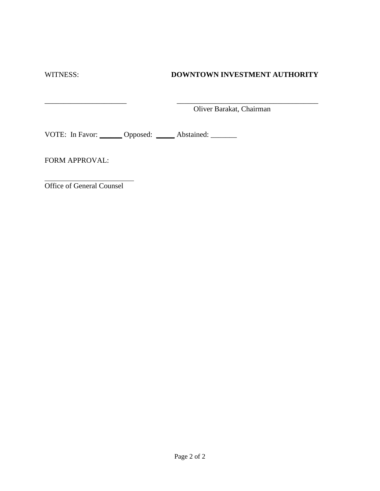# WITNESS: **DOWNTOWN INVESTMENT AUTHORITY**

\_\_\_\_\_\_\_\_\_\_\_\_\_\_\_\_\_\_\_\_\_\_ \_\_\_\_\_\_\_\_\_\_\_\_\_\_\_\_\_\_\_\_\_\_\_\_\_\_\_\_\_\_\_\_\_\_\_\_\_\_ Oliver Barakat, Chairman

VOTE: In Favor: \_\_\_\_\_\_ Opposed: \_\_\_\_\_ Abstained: \_\_\_\_\_\_

FORM APPROVAL:

Office of General Counsel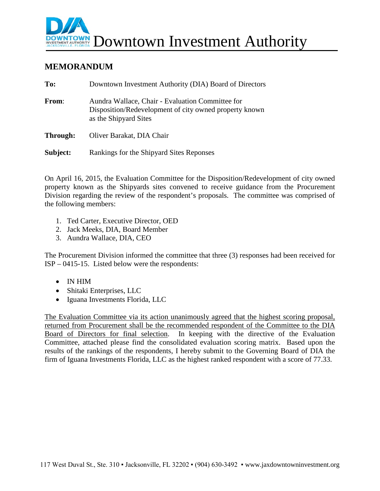

# **MEMORANDUM**

| To:      | Downtown Investment Authority (DIA) Board of Directors                                                                              |
|----------|-------------------------------------------------------------------------------------------------------------------------------------|
| From:    | Aundra Wallace, Chair - Evaluation Committee for<br>Disposition/Redevelopment of city owned property known<br>as the Shipyard Sites |
| Through: | Oliver Barakat, DIA Chair                                                                                                           |
| Subject: | Rankings for the Shipyard Sites Reponses                                                                                            |

On April 16, 2015, the Evaluation Committee for the Disposition/Redevelopment of city owned property known as the Shipyards sites convened to receive guidance from the Procurement Division regarding the review of the respondent's proposals. The committee was comprised of the following members:

- 1. Ted Carter, Executive Director, OED
- 2. Jack Meeks, DIA, Board Member
- 3. Aundra Wallace, DIA, CEO

The Procurement Division informed the committee that three (3) responses had been received for ISP – 0415-15. Listed below were the respondents:

- IN HIM
- Shitaki Enterprises, LLC
- Iguana Investments Florida, LLC

The Evaluation Committee via its action unanimously agreed that the highest scoring proposal, returned from Procurement shall be the recommended respondent of the Committee to the DIA Board of Directors for final selection. In keeping with the directive of the Evaluation Committee, attached please find the consolidated evaluation scoring matrix. Based upon the results of the rankings of the respondents, I hereby submit to the Governing Board of DIA the firm of Iguana Investments Florida, LLC as the highest ranked respondent with a score of 77.33.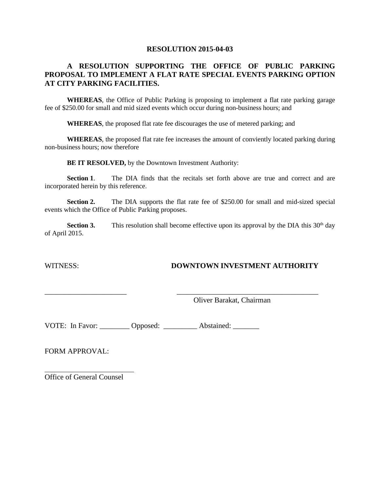#### **A RESOLUTION SUPPORTING THE OFFICE OF PUBLIC PARKING PROPOSAL TO IMPLEMENT A FLAT RATE SPECIAL EVENTS PARKING OPTION AT CITY PARKING FACILITIES.**

**WHEREAS**, the Office of Public Parking is proposing to implement a flat rate parking garage fee of \$250.00 for small and mid sized events which occur during non-business hours; and

**WHEREAS**, the proposed flat rate fee discourages the use of metered parking; and

**WHEREAS**, the proposed flat rate fee increases the amount of conviently located parking during non-business hours; now therefore

**BE IT RESOLVED,** by the Downtown Investment Authority:

**Section 1.** The DIA finds that the recitals set forth above are true and correct and are incorporated herein by this reference.

**Section 2.** The DIA supports the flat rate fee of \$250.00 for small and mid-sized special events which the Office of Public Parking proposes.

**Section 3.** This resolution shall become effective upon its approval by the DIA this  $30<sup>th</sup>$  day of April 2015.

\_\_\_\_\_\_\_\_\_\_\_\_\_\_\_\_\_\_\_\_\_\_ \_\_\_\_\_\_\_\_\_\_\_\_\_\_\_\_\_\_\_\_\_\_\_\_\_\_\_\_\_\_\_\_\_\_\_\_\_\_

# WITNESS: **DOWNTOWN INVESTMENT AUTHORITY**

Oliver Barakat, Chairman

VOTE: In Favor: \_\_\_\_\_\_\_\_ Opposed: \_\_\_\_\_\_\_\_ Abstained: \_\_\_\_\_\_\_

FORM APPROVAL:

Office of General Counsel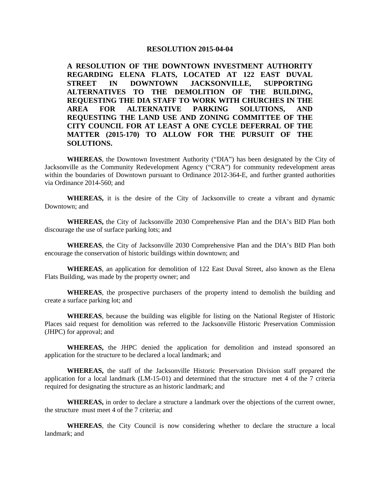**A RESOLUTION OF THE DOWNTOWN INVESTMENT AUTHORITY REGARDING ELENA FLATS, LOCATED AT 122 EAST DUVAL STREET IN DOWNTOWN JACKSONVILLE, SUPPORTING ALTERNATIVES TO THE DEMOLITION OF THE BUILDING, REQUESTING THE DIA STAFF TO WORK WITH CHURCHES IN THE AREA FOR ALTERNATIVE PARKING SOLUTIONS, AND REQUESTING THE LAND USE AND ZONING COMMITTEE OF THE CITY COUNCIL FOR AT LEAST A ONE CYCLE DEFERRAL OF THE MATTER (2015-170) TO ALLOW FOR THE PURSUIT OF THE SOLUTIONS.**

**WHEREAS**, the Downtown Investment Authority ("DIA") has been designated by the City of Jacksonville as the Community Redevelopment Agency ("CRA") for community redevelopment areas within the boundaries of Downtown pursuant to Ordinance 2012-364-E, and further granted authorities via Ordinance 2014-560; and

**WHEREAS,** it is the desire of the City of Jacksonville to create a vibrant and dynamic Downtown; and

**WHEREAS,** the City of Jacksonville 2030 Comprehensive Plan and the DIA's BID Plan both discourage the use of surface parking lots; and

**WHEREAS**, the City of Jacksonville 2030 Comprehensive Plan and the DIA's BID Plan both encourage the conservation of historic buildings within downtown; and

**WHEREAS**, an application for demolition of 122 East Duval Street, also known as the Elena Flats Building, was made by the property owner; and

**WHEREAS**, the prospective purchasers of the property intend to demolish the building and create a surface parking lot; and

**WHEREAS**, because the building was eligible for listing on the National Register of Historic Places said request for demolition was referred to the Jacksonville Historic Preservation Commission (JHPC) for approval; and

**WHEREAS,** the JHPC denied the application for demolition and instead sponsored an application for the structure to be declared a local landmark; and

**WHEREAS,** the staff of the Jacksonville Historic Preservation Division staff prepared the application for a local landmark (LM-15-01) and determined that the structure met 4 of the 7 criteria required for designating the structure as an historic landmark; and

**WHEREAS,** in order to declare a structure a landmark over the objections of the current owner, the structure must meet 4 of the 7 criteria; and

**WHEREAS**, the City Council is now considering whether to declare the structure a local landmark; and